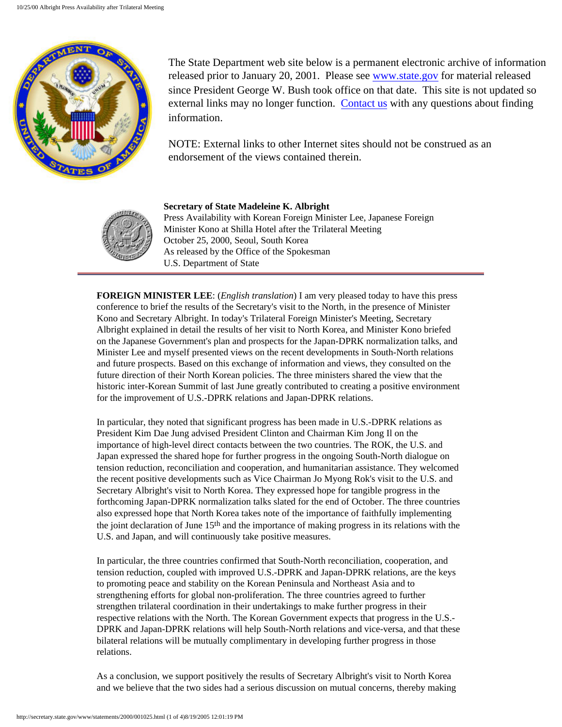

The State Department web site below is a permanent electronic archive of information released prior to January 20, 2001. Please see [www.state.gov](http://www.state.gov/) for material released since President George W. Bush took office on that date. This site is not updated so external links may no longer function. [Contact us](http://state.gov/documents/ContactUs.cfm) with any questions about finding information.

NOTE: External links to other Internet sites should not be construed as an endorsement of the views contained therein.



## **Secretary of State Madeleine K. Albright**

Press Availability with Korean Foreign Minister Lee, Japanese Foreign Minister Kono at Shilla Hotel after the Trilateral Meeting October 25, 2000, Seoul, South Korea As released by the Office of the Spokesman U.S. Department of State

**FOREIGN MINISTER LEE**: (*English translation*) I am very pleased today to have this press conference to brief the results of the Secretary's visit to the North, in the presence of Minister Kono and Secretary Albright. In today's Trilateral Foreign Minister's Meeting, Secretary Albright explained in detail the results of her visit to North Korea, and Minister Kono briefed on the Japanese Government's plan and prospects for the Japan-DPRK normalization talks, and Minister Lee and myself presented views on the recent developments in South-North relations and future prospects. Based on this exchange of information and views, they consulted on the future direction of their North Korean policies. The three ministers shared the view that the historic inter-Korean Summit of last June greatly contributed to creating a positive environment for the improvement of U.S.-DPRK relations and Japan-DPRK relations.

In particular, they noted that significant progress has been made in U.S.-DPRK relations as President Kim Dae Jung advised President Clinton and Chairman Kim Jong Il on the importance of high-level direct contacts between the two countries. The ROK, the U.S. and Japan expressed the shared hope for further progress in the ongoing South-North dialogue on tension reduction, reconciliation and cooperation, and humanitarian assistance. They welcomed the recent positive developments such as Vice Chairman Jo Myong Rok's visit to the U.S. and Secretary Albright's visit to North Korea. They expressed hope for tangible progress in the forthcoming Japan-DPRK normalization talks slated for the end of October. The three countries also expressed hope that North Korea takes note of the importance of faithfully implementing the joint declaration of June 15th and the importance of making progress in its relations with the U.S. and Japan, and will continuously take positive measures.

In particular, the three countries confirmed that South-North reconciliation, cooperation, and tension reduction, coupled with improved U.S.-DPRK and Japan-DPRK relations, are the keys to promoting peace and stability on the Korean Peninsula and Northeast Asia and to strengthening efforts for global non-proliferation. The three countries agreed to further strengthen trilateral coordination in their undertakings to make further progress in their respective relations with the North. The Korean Government expects that progress in the U.S.- DPRK and Japan-DPRK relations will help South-North relations and vice-versa, and that these bilateral relations will be mutually complimentary in developing further progress in those relations.

As a conclusion, we support positively the results of Secretary Albright's visit to North Korea and we believe that the two sides had a serious discussion on mutual concerns, thereby making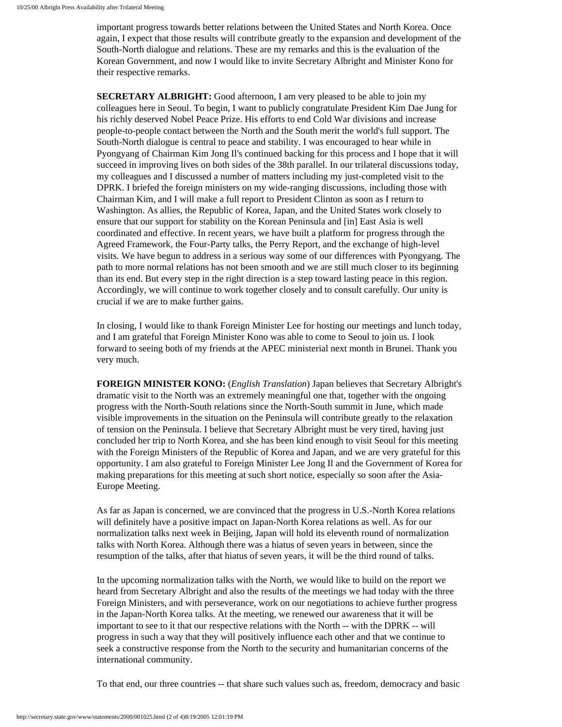important progress towards better relations between the United States and North Korea. Once again, I expect that those results will contribute greatly to the expansion and development of the South-North dialogue and relations. These are my remarks and this is the evaluation of the Korean Government, and now I would like to invite Secretary Albright and Minister Kono for their respective remarks.

**SECRETARY ALBRIGHT:** Good afternoon, I am very pleased to be able to join my colleagues here in Seoul. To begin, I want to publicly congratulate President Kim Dae Jung for his richly deserved Nobel Peace Prize. His efforts to end Cold War divisions and increase people-to-people contact between the North and the South merit the world's full support. The South-North dialogue is central to peace and stability. I was encouraged to hear while in Pyongyang of Chairman Kim Jong Il's continued backing for this process and I hope that it will succeed in improving lives on both sides of the 38th parallel. In our trilateral discussions today, my colleagues and I discussed a number of matters including my just-completed visit to the DPRK. I briefed the foreign ministers on my wide-ranging discussions, including those with Chairman Kim, and I will make a full report to President Clinton as soon as I return to Washington. As allies, the Republic of Korea, Japan, and the United States work closely to ensure that our support for stability on the Korean Peninsula and [in] East Asia is well coordinated and effective. In recent years, we have built a platform for progress through the Agreed Framework, the Four-Party talks, the Perry Report, and the exchange of high-level visits. We have begun to address in a serious way some of our differences with Pyongyang. The path to more normal relations has not been smooth and we are still much closer to its beginning than its end. But every step in the right direction is a step toward lasting peace in this region. Accordingly, we will continue to work together closely and to consult carefully. Our unity is crucial if we are to make further gains.

In closing, I would like to thank Foreign Minister Lee for hosting our meetings and lunch today, and I am grateful that Foreign Minister Kono was able to come to Seoul to join us. I look forward to seeing both of my friends at the APEC ministerial next month in Brunei. Thank you very much.

**FOREIGN MINISTER KONO:** (*English Translation*) Japan believes that Secretary Albright's dramatic visit to the North was an extremely meaningful one that, together with the ongoing progress with the North-South relations since the North-South summit in June, which made visible improvements in the situation on the Peninsula will contribute greatly to the relaxation of tension on the Peninsula. I believe that Secretary Albright must be very tired, having just concluded her trip to North Korea, and she has been kind enough to visit Seoul for this meeting with the Foreign Ministers of the Republic of Korea and Japan, and we are very grateful for this opportunity. I am also grateful to Foreign Minister Lee Jong Il and the Government of Korea for making preparations for this meeting at such short notice, especially so soon after the Asia-Europe Meeting.

As far as Japan is concerned, we are convinced that the progress in U.S.-North Korea relations will definitely have a positive impact on Japan-North Korea relations as well. As for our normalization talks next week in Beijing, Japan will hold its eleventh round of normalization talks with North Korea. Although there was a hiatus of seven years in between, since the resumption of the talks, after that hiatus of seven years, it will be the third round of talks.

In the upcoming normalization talks with the North, we would like to build on the report we heard from Secretary Albright and also the results of the meetings we had today with the three Foreign Ministers, and with perseverance, work on our negotiations to achieve further progress in the Japan-North Korea talks. At the meeting, we renewed our awareness that it will be important to see to it that our respective relations with the North -- with the DPRK -- will progress in such a way that they will positively influence each other and that we continue to seek a constructive response from the North to the security and humanitarian concerns of the international community.

To that end, our three countries -- that share such values such as, freedom, democracy and basic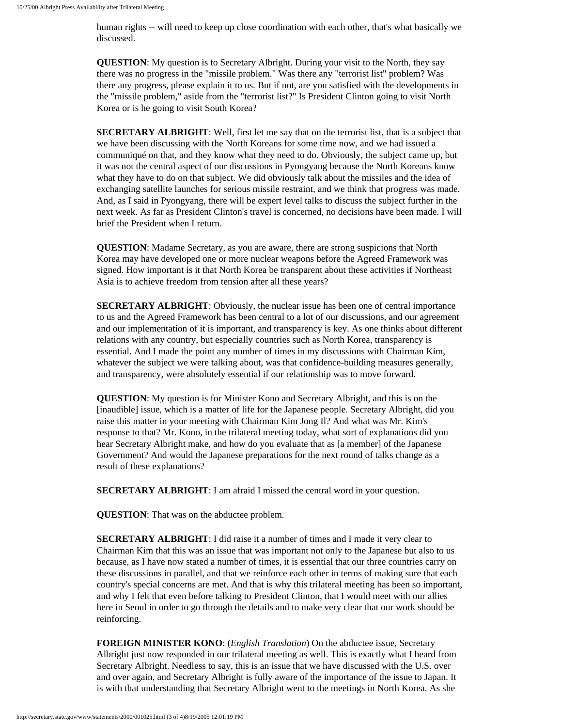human rights -- will need to keep up close coordination with each other, that's what basically we discussed.

**QUESTION**: My question is to Secretary Albright. During your visit to the North, they say there was no progress in the "missile problem." Was there any "terrorist list" problem? Was there any progress, please explain it to us. But if not, are you satisfied with the developments in the "missile problem," aside from the "terrorist list?" Is President Clinton going to visit North Korea or is he going to visit South Korea?

**SECRETARY ALBRIGHT**: Well, first let me say that on the terrorist list, that is a subject that we have been discussing with the North Koreans for some time now, and we had issued a communiqué on that, and they know what they need to do. Obviously, the subject came up, but it was not the central aspect of our discussions in Pyongyang because the North Koreans know what they have to do on that subject. We did obviously talk about the missiles and the idea of exchanging satellite launches for serious missile restraint, and we think that progress was made. And, as I said in Pyongyang, there will be expert level talks to discuss the subject further in the next week. As far as President Clinton's travel is concerned, no decisions have been made. I will brief the President when I return.

**QUESTION**: Madame Secretary, as you are aware, there are strong suspicions that North Korea may have developed one or more nuclear weapons before the Agreed Framework was signed. How important is it that North Korea be transparent about these activities if Northeast Asia is to achieve freedom from tension after all these years?

**SECRETARY ALBRIGHT**: Obviously, the nuclear issue has been one of central importance to us and the Agreed Framework has been central to a lot of our discussions, and our agreement and our implementation of it is important, and transparency is key. As one thinks about different relations with any country, but especially countries such as North Korea, transparency is essential. And I made the point any number of times in my discussions with Chairman Kim, whatever the subject we were talking about, was that confidence-building measures generally, and transparency, were absolutely essential if our relationship was to move forward.

**QUESTION**: My question is for Minister Kono and Secretary Albright, and this is on the [inaudible] issue, which is a matter of life for the Japanese people. Secretary Albright, did you raise this matter in your meeting with Chairman Kim Jong Il? And what was Mr. Kim's response to that? Mr. Kono, in the trilateral meeting today, what sort of explanations did you hear Secretary Albright make, and how do you evaluate that as [a member] of the Japanese Government? And would the Japanese preparations for the next round of talks change as a result of these explanations?

**SECRETARY ALBRIGHT**: I am afraid I missed the central word in your question.

**QUESTION**: That was on the abductee problem.

**SECRETARY ALBRIGHT**: I did raise it a number of times and I made it very clear to Chairman Kim that this was an issue that was important not only to the Japanese but also to us because, as I have now stated a number of times, it is essential that our three countries carry on these discussions in parallel, and that we reinforce each other in terms of making sure that each country's special concerns are met. And that is why this trilateral meeting has been so important, and why I felt that even before talking to President Clinton, that I would meet with our allies here in Seoul in order to go through the details and to make very clear that our work should be reinforcing.

**FOREIGN MINISTER KONO**: (*English Translation*) On the abductee issue, Secretary Albright just now responded in our trilateral meeting as well. This is exactly what I heard from Secretary Albright. Needless to say, this is an issue that we have discussed with the U.S. over and over again, and Secretary Albright is fully aware of the importance of the issue to Japan. It is with that understanding that Secretary Albright went to the meetings in North Korea. As she